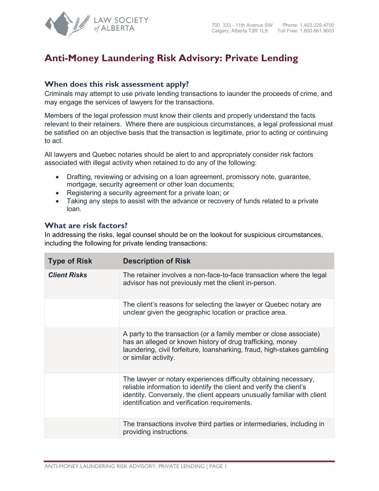

## **Anti-Money Laundering Risk Advisory: Private Lending**

## **When does this risk assessment apply?**

Criminals may attempt to use private lending transactions to launder the proceeds of crime, and may engage the services of lawyers for the transactions.

Members of the legal profession must know their clients and properly understand the facts relevant to their retainers. Where there are suspicious circumstances, a legal professional must be satisfied on an objective basis that the transaction is legitimate, prior to acting or continuing to act.

All lawyers and Quebec notaries should be alert to and appropriately consider risk factors associated with illegal activity when retained to do any of the following:

- Drafting, reviewing or advising on a loan agreement, promissory note, guarantee, mortgage, security agreement or other loan documents;
- Registering a security agreement for a private loan; or
- Taking any steps to assist with the advance or recovery of funds related to a private loan.

## **What are risk factors?**

In addressing the risks, legal counsel should be on the lookout for suspicious circumstances, including the following for private lending transactions:

| <b>Type of Risk</b> | <b>Description of Risk</b>                                                                                                                                                                                                                                          |
|---------------------|---------------------------------------------------------------------------------------------------------------------------------------------------------------------------------------------------------------------------------------------------------------------|
| <b>Client Risks</b> | The retainer involves a non-face-to-face transaction where the legal<br>advisor has not previously met the client in-person.                                                                                                                                        |
|                     | The client's reasons for selecting the lawyer or Quebec notary are<br>unclear given the geographic location or practice area.                                                                                                                                       |
|                     | A party to the transaction (or a family member or close associate)<br>has an alleged or known history of drug trafficking, money<br>laundering, civil forfeiture, loansharking, fraud, high-stakes gambling<br>or similar activity.                                 |
|                     | The lawyer or notary experiences difficulty obtaining necessary,<br>reliable information to identify the client and verify the client's<br>identity. Conversely, the client appears unusually familiar with client<br>identification and verification requirements. |
|                     | The transactions involve third parties or intermediaries, including in<br>providing instructions.                                                                                                                                                                   |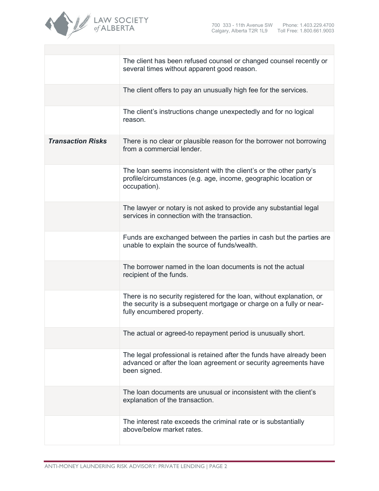

|                          | The client has been refused counsel or changed counsel recently or<br>several times without apparent good reason.                                                          |
|--------------------------|----------------------------------------------------------------------------------------------------------------------------------------------------------------------------|
|                          | The client offers to pay an unusually high fee for the services.                                                                                                           |
|                          | The client's instructions change unexpectedly and for no logical<br>reason.                                                                                                |
| <b>Transaction Risks</b> | There is no clear or plausible reason for the borrower not borrowing<br>from a commercial lender.                                                                          |
|                          | The loan seems inconsistent with the client's or the other party's<br>profile/circumstances (e.g. age, income, geographic location or<br>occupation).                      |
|                          | The lawyer or notary is not asked to provide any substantial legal<br>services in connection with the transaction.                                                         |
|                          | Funds are exchanged between the parties in cash but the parties are<br>unable to explain the source of funds/wealth.                                                       |
|                          | The borrower named in the loan documents is not the actual<br>recipient of the funds.                                                                                      |
|                          | There is no security registered for the loan, without explanation, or<br>the security is a subsequent mortgage or charge on a fully or near-<br>fully encumbered property. |
|                          | The actual or agreed-to repayment period is unusually short.                                                                                                               |
|                          | The legal professional is retained after the funds have already been<br>advanced or after the loan agreement or security agreements have<br>been signed.                   |
|                          | The loan documents are unusual or inconsistent with the client's<br>explanation of the transaction.                                                                        |
|                          | The interest rate exceeds the criminal rate or is substantially<br>above/below market rates.                                                                               |